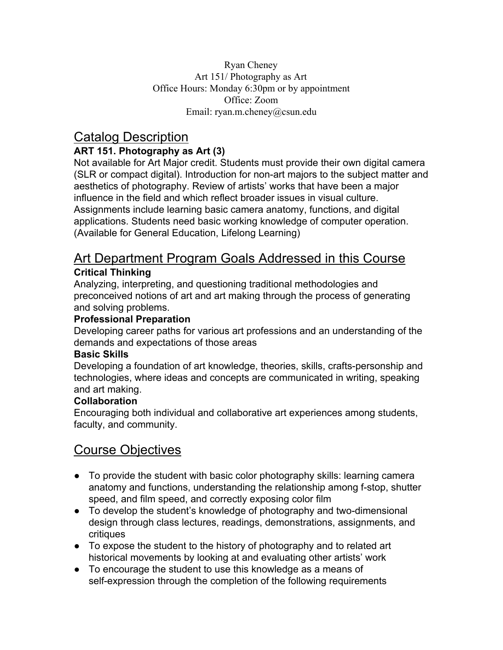Ryan Cheney Art 151/ Photography as Art Office Hours: Monday 6:30pm or by appointment Office: Zoom Email: ryan.m.cheney@csun.edu

## Catalog Description

#### **ART 151. Photography as Art (3)**

Not available for Art Major credit. Students must provide their own digital camera (SLR or compact digital). Introduction for non-art majors to the subject matter and aesthetics of photography. Review of artists' works that have been a major influence in the field and which reflect broader issues in visual culture. Assignments include learning basic camera anatomy, functions, and digital applications. Students need basic working knowledge of computer operation. (Available for General Education, Lifelong Learning)

## Art Department Program Goals Addressed in this Course **Critical Thinking**

Analyzing, interpreting, and questioning traditional methodologies and preconceived notions of art and art making through the process of generating and solving problems.

#### **Professional Preparation**

Developing career paths for various art professions and an understanding of the demands and expectations of those areas

#### **Basic Skills**

Developing a foundation of art knowledge, theories, skills, crafts-personship and technologies, where ideas and concepts are communicated in writing, speaking and art making.

#### **Collaboration**

Encouraging both individual and collaborative art experiences among students, faculty, and community.

# Course Objectives

- To provide the student with basic color photography skills: learning camera anatomy and functions, understanding the relationship among f-stop, shutter speed, and film speed, and correctly exposing color film
- To develop the student's knowledge of photography and two-dimensional design through class lectures, readings, demonstrations, assignments, and critiques
- To expose the student to the history of photography and to related art historical movements by looking at and evaluating other artists' work
- To encourage the student to use this knowledge as a means of self-expression through the completion of the following requirements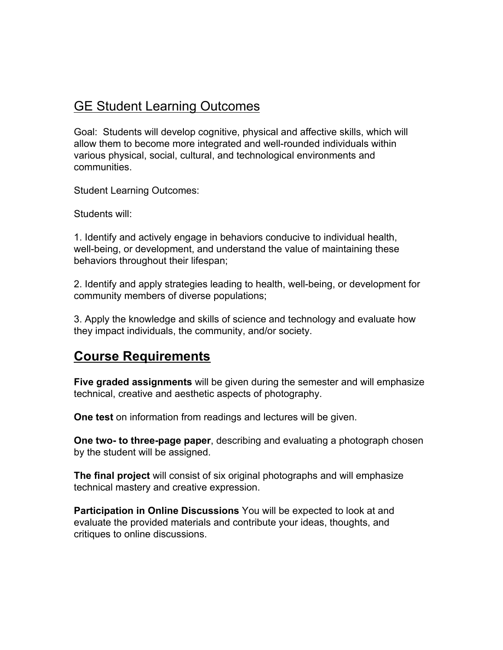## GE Student Learning Outcomes

Goal: Students will develop cognitive, physical and affective skills, which will allow them to become more integrated and well-rounded individuals within various physical, social, cultural, and technological environments and communities.

Student Learning Outcomes:

Students will:

1. Identify and actively engage in behaviors conducive to individual health, well-being, or development, and understand the value of maintaining these behaviors throughout their lifespan;

2. Identify and apply strategies leading to health, well-being, or development for community members of diverse populations;

3. Apply the knowledge and skills of science and technology and evaluate how they impact individuals, the community, and/or society.

## **Course Requirements**

**Five graded assignments** will be given during the semester and will emphasize technical, creative and aesthetic aspects of photography.

**One test** on information from readings and lectures will be given.

**One two- to three-page paper**, describing and evaluating a photograph chosen by the student will be assigned.

**The final project** will consist of six original photographs and will emphasize technical mastery and creative expression.

**Participation in Online Discussions** You will be expected to look at and evaluate the provided materials and contribute your ideas, thoughts, and critiques to online discussions.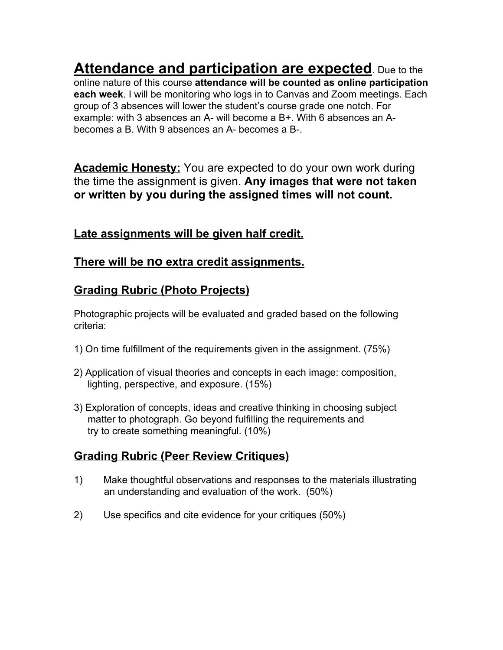**Attendance and participation are expected**. Due to the online nature of this course **attendance will be counted as online participation each week**. I will be monitoring who logs in to Canvas and Zoom meetings. Each group of 3 absences will lower the student's course grade one notch. For example: with 3 absences an A- will become a B+. With 6 absences an Abecomes a B. With 9 absences an A- becomes a B-.

**Academic Honesty:** You are expected to do your own work during the time the assignment is given. **Any images that were not taken or written by you during the assigned times will not count.**

## **Late assignments will be given half credit.**

#### **There will be no extra credit assignments.**

## **Grading Rubric (Photo Projects)**

Photographic projects will be evaluated and graded based on the following criteria:

- 1) On time fulfillment of the requirements given in the assignment. (75%)
- 2) Application of visual theories and concepts in each image: composition, lighting, perspective, and exposure. (15%)
- 3) Exploration of concepts, ideas and creative thinking in choosing subject matter to photograph. Go beyond fulfilling the requirements and try to create something meaningful. (10%)

## **Grading Rubric (Peer Review Critiques)**

- 1) Make thoughtful observations and responses to the materials illustrating an understanding and evaluation of the work. (50%)
- 2) Use specifics and cite evidence for your critiques (50%)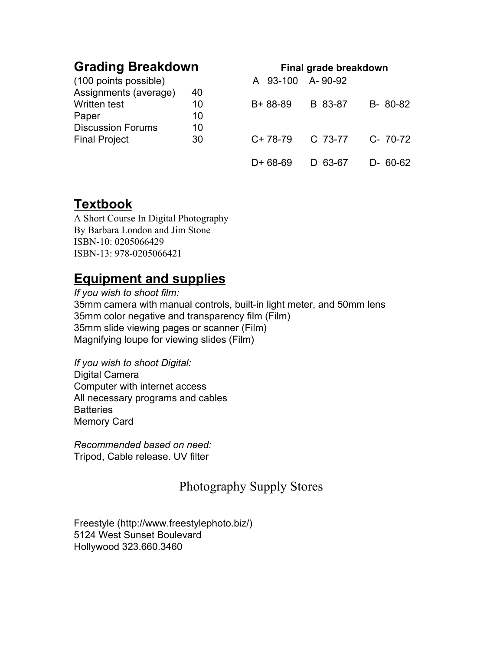# **Grading Breakdown Final grade breakdown**

| (100 points possible)    |    | A 93-100 A-90-92    |         |               |
|--------------------------|----|---------------------|---------|---------------|
| Assignments (average)    | 40 |                     |         |               |
| Written test             | 10 | B+ 88-89            | B 83-87 | B-80-82       |
| Paper                    | 10 |                     |         |               |
| <b>Discussion Forums</b> | 10 |                     |         |               |
| <b>Final Project</b>     | 30 | $C+78-79$ $C.73-77$ |         | C- 70-72      |
|                          |    |                     |         |               |
|                          |    | $D+68-69$           | D 63-67 | $D - 60 - 62$ |

# **Textbook**

A Short Course In Digital Photography By Barbara London and Jim Stone ISBN-10: 0205066429 ISBN-13: 978-0205066421

# **Equipment and supplies**

*If you wish to shoot film:* 35mm camera with manual controls, built-in light meter, and 50mm lens 35mm color negative and transparency film (Film) 35mm slide viewing pages or scanner (Film) Magnifying loupe for viewing slides (Film)

*If you wish to shoot Digital:* Digital Camera Computer with internet access All necessary programs and cables **Batteries** Memory Card

*Recommended based on need:* Tripod, Cable release. UV filter

#### Photography Supply Stores

Freestyle (http://www.freestylephoto.biz/) 5124 West Sunset Boulevard Hollywood 323.660.3460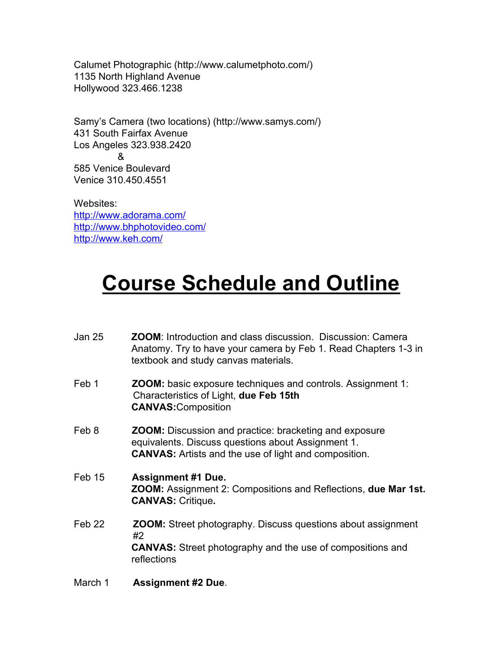Calumet Photographic (http://www.calumetphoto.com/) 1135 North Highland Avenue Hollywood 323.466.1238

Samy's Camera (two locations) (http://www.samys.com/) 431 South Fairfax Avenue Los Angeles 323.938.2420 & 585 Venice Boulevard Venice 310.450.4551

Websites: <http://www.adorama.com/> <http://www.bhphotovideo.com/> <http://www.keh.com/>

# **Course Schedule and Outline**

| Jan 25            | <b>ZOOM:</b> Introduction and class discussion. Discussion: Camera<br>Anatomy. Try to have your camera by Feb 1. Read Chapters 1-3 in<br>textbook and study canvas materials.       |
|-------------------|-------------------------------------------------------------------------------------------------------------------------------------------------------------------------------------|
| Feb 1             | <b>ZOOM:</b> basic exposure techniques and controls. Assignment 1:<br>Characteristics of Light, due Feb 15th<br><b>CANVAS: Composition</b>                                          |
| Feb 8             | <b>ZOOM:</b> Discussion and practice: bracketing and exposure<br>equivalents. Discuss questions about Assignment 1.<br><b>CANVAS:</b> Artists and the use of light and composition. |
| Feb 15            | <b>Assignment #1 Due.</b><br><b>ZOOM:</b> Assignment 2: Compositions and Reflections, due Mar 1st.<br><b>CANVAS: Critique.</b>                                                      |
| Feb <sub>22</sub> | <b>ZOOM:</b> Street photography. Discuss questions about assignment<br>#2<br><b>CANVAS:</b> Street photography and the use of compositions and<br>reflections                       |
| March 1           | <b>Assignment #2 Due.</b>                                                                                                                                                           |